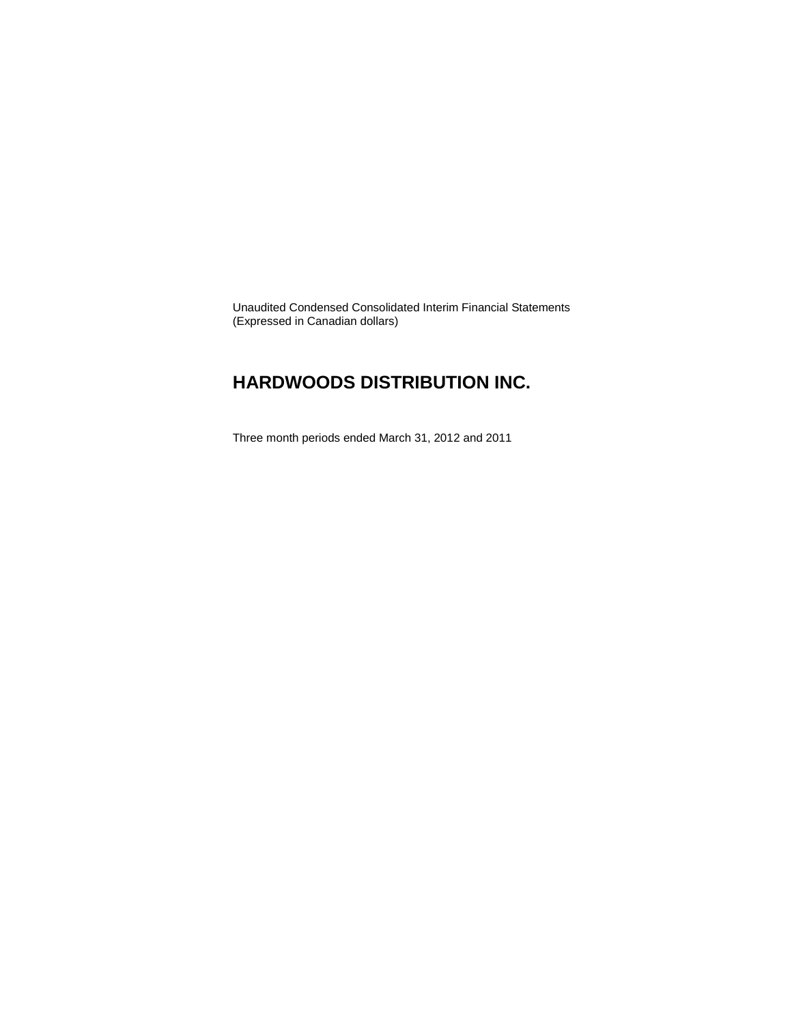Unaudited Condensed Consolidated Interim Financial Statements (Expressed in Canadian dollars)

## **HARDWOODS DISTRIBUTION INC.**

Three month periods ended March 31, 2012 and 2011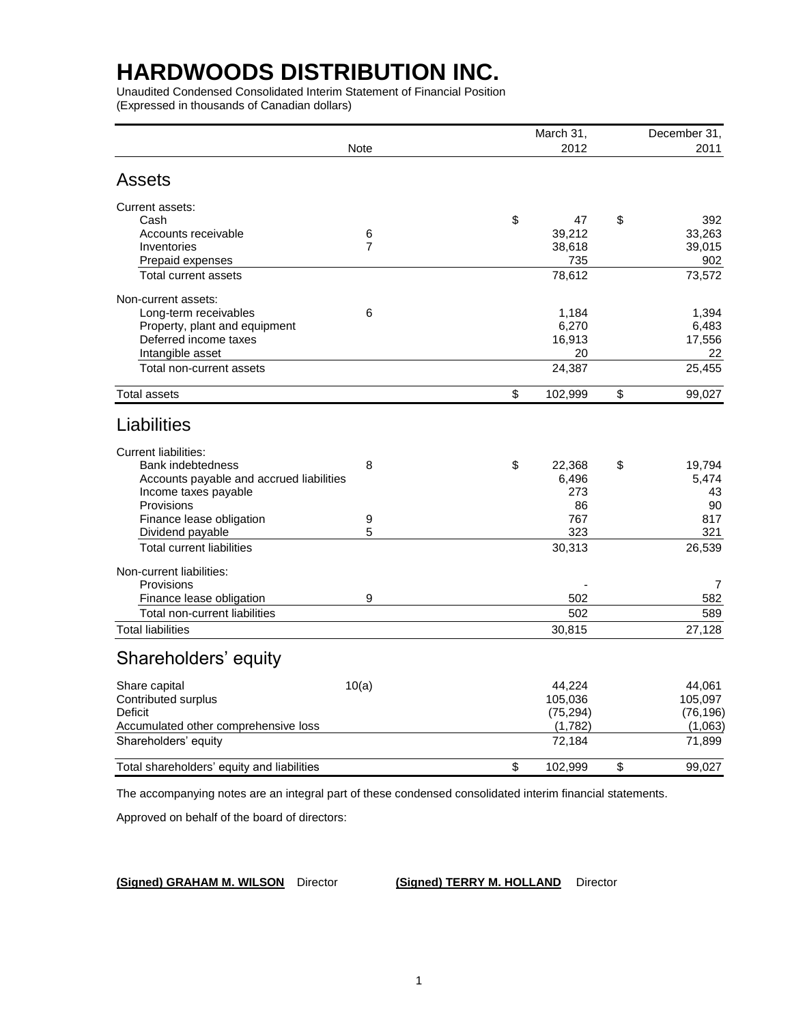Unaudited Condensed Consolidated Interim Statement of Financial Position (Expressed in thousands of Canadian dollars)

|                                            |                  | March 31,     | December 31, |
|--------------------------------------------|------------------|---------------|--------------|
|                                            | <b>Note</b>      | 2012          | 2011         |
| <b>Assets</b>                              |                  |               |              |
| Current assets:                            |                  |               |              |
| Cash                                       |                  | \$<br>47      | \$<br>392    |
| Accounts receivable                        | 6                | 39,212        | 33.263       |
| Inventories                                | $\overline{7}$   | 38,618        | 39,015       |
| Prepaid expenses                           |                  | 735           | 902          |
| Total current assets                       |                  | 78,612        | 73,572       |
| Non-current assets:                        |                  |               |              |
| Long-term receivables                      | 6                | 1.184         | 1.394        |
| Property, plant and equipment              |                  | 6,270         | 6,483        |
| Deferred income taxes                      |                  | 16,913        | 17,556       |
| Intangible asset                           |                  | 20            | 22           |
| Total non-current assets                   |                  | 24,387        | 25,455       |
| <b>Total assets</b>                        |                  | \$<br>102,999 | \$<br>99,027 |
| Liabilities                                |                  |               |              |
|                                            |                  |               |              |
| <b>Current liabilities:</b>                |                  |               |              |
| <b>Bank indebtedness</b>                   | 8                | \$<br>22,368  | \$<br>19,794 |
| Accounts payable and accrued liabilities   |                  | 6,496         | 5,474        |
| Income taxes payable                       |                  | 273           | 43           |
| Provisions                                 |                  | 86            | 90           |
| Finance lease obligation                   | $\boldsymbol{9}$ | 767           | 817          |
| Dividend payable                           | 5                | 323           | 321          |
| <b>Total current liabilities</b>           |                  | 30,313        | 26,539       |
| Non-current liabilities:                   |                  |               |              |
| Provisions                                 |                  |               | 7            |
| Finance lease obligation                   | 9                | 502           | 582          |
| Total non-current liabilities              |                  | 502           | 589          |
| <b>Total liabilities</b>                   |                  | 30,815        | 27,128       |
| Shareholders' equity                       |                  |               |              |
| Share capital                              | 10(a)            | 44,224        | 44.061       |
| Contributed surplus                        |                  | 105,036       | 105,097      |
| Deficit                                    |                  | (75, 294)     | (76, 196)    |
| Accumulated other comprehensive loss       |                  | (1,782)       | (1,063)      |
| Shareholders' equity                       |                  | 72,184        | 71,899       |
| Total shareholders' equity and liabilities |                  | \$<br>102,999 | \$<br>99,027 |
|                                            |                  |               |              |

The accompanying notes are an integral part of these condensed consolidated interim financial statements.

Approved on behalf of the board of directors:

**(Signed) GRAHAM M. WILSON** Director **(Signed) TERRY M. HOLLAND** Director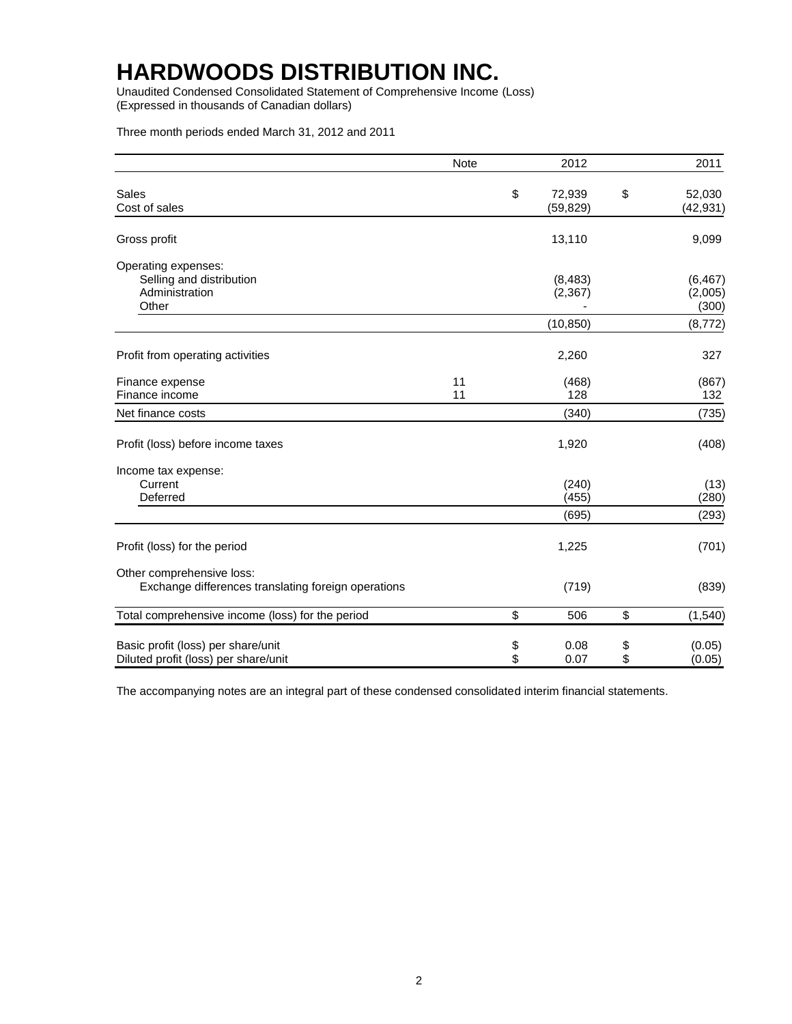Unaudited Condensed Consolidated Statement of Comprehensive Income (Loss) (Expressed in thousands of Canadian dollars)

Three month periods ended March 31, 2012 and 2011

|                                                                                  | <b>Note</b> |                   | 2012                              |          | 2011                                     |
|----------------------------------------------------------------------------------|-------------|-------------------|-----------------------------------|----------|------------------------------------------|
| Sales<br>Cost of sales                                                           |             | \$                | 72,939<br>(59, 829)               | \$       | 52,030<br>(42, 931)                      |
| Gross profit                                                                     |             |                   | 13,110                            |          | 9,099                                    |
| Operating expenses:<br>Selling and distribution<br>Administration<br>Other       |             |                   | (8, 483)<br>(2, 367)<br>(10, 850) |          | (6, 467)<br>(2,005)<br>(300)<br>(8, 772) |
| Profit from operating activities                                                 |             |                   | 2,260                             |          | 327                                      |
| Finance expense<br>Finance income                                                | 11<br>11    |                   | (468)<br>128                      |          | (867)<br>132                             |
| Net finance costs                                                                |             |                   | (340)                             |          | (735)                                    |
| Profit (loss) before income taxes                                                |             |                   | 1,920                             |          | (408)                                    |
| Income tax expense:<br>Current<br>Deferred                                       |             |                   | (240)<br>(455)<br>(695)           |          | (13)<br>(280)<br>(293)                   |
| Profit (loss) for the period                                                     |             |                   | 1,225                             |          | (701)                                    |
| Other comprehensive loss:<br>Exchange differences translating foreign operations |             |                   | (719)                             |          | (839)                                    |
| Total comprehensive income (loss) for the period                                 |             | \$                | 506                               | \$       | (1, 540)                                 |
| Basic profit (loss) per share/unit<br>Diluted profit (loss) per share/unit       |             | \$<br>$\ddot{\$}$ | 0.08<br>0.07                      | \$<br>\$ | (0.05)<br>(0.05)                         |

The accompanying notes are an integral part of these condensed consolidated interim financial statements.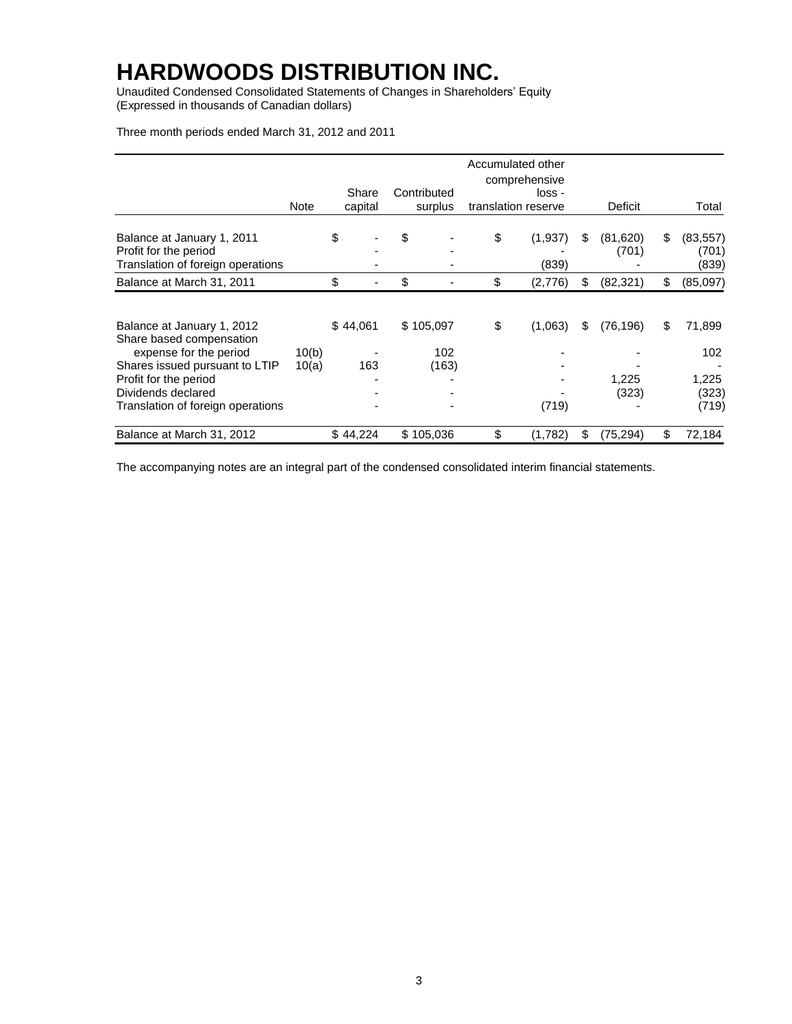Unaudited Condensed Consolidated Statements of Changes in Shareholders' Equity (Expressed in thousands of Canadian dollars)

Three month periods ended March 31, 2012 and 2011

|                                                                                                                                                                   |                |                  |                           | Accumulated other<br>comprehensive |    |                             |    |                                 |
|-------------------------------------------------------------------------------------------------------------------------------------------------------------------|----------------|------------------|---------------------------|------------------------------------|----|-----------------------------|----|---------------------------------|
|                                                                                                                                                                   | Note           | Share<br>capital | Contributed<br>surplus    | loss -<br>translation reserve      |    | Deficit                     |    | Total                           |
| Balance at January 1, 2011<br>Profit for the period<br>Translation of foreign operations                                                                          |                | \$               | \$                        | \$<br>(1,937)<br>(839)             | S  | (81,620)<br>(701)           | \$ | (83, 557)<br>(701)<br>(839)     |
| Balance at March 31, 2011                                                                                                                                         |                | \$               | \$                        | \$<br>(2,776)                      | \$ | (82, 321)                   | \$ | (85,097)                        |
| Balance at January 1, 2012<br>Share based compensation<br>expense for the period<br>Shares issued pursuant to LTIP<br>Profit for the period<br>Dividends declared | 10(b)<br>10(a) | \$44,061<br>163  | \$105,097<br>102<br>(163) | \$<br>(1,063)                      | S  | (76, 196)<br>1,225<br>(323) | S  | 71,899<br>102<br>1,225<br>(323) |
| Translation of foreign operations                                                                                                                                 |                |                  |                           | (719)                              |    |                             |    | (719)                           |
| Balance at March 31, 2012                                                                                                                                         |                | \$44,224         | \$105,036                 | \$<br>(1,782)                      | \$ | (75,294)                    | \$ | 72,184                          |

The accompanying notes are an integral part of the condensed consolidated interim financial statements.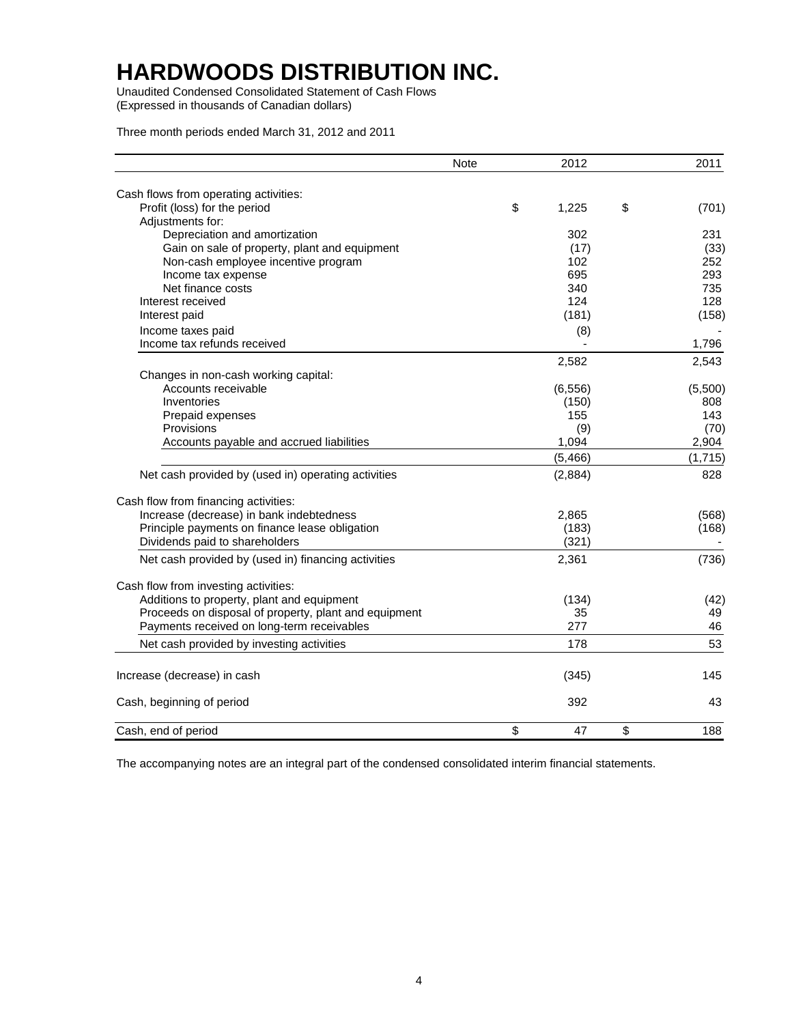Unaudited Condensed Consolidated Statement of Cash Flows (Expressed in thousands of Canadian dollars)

Three month periods ended March 31, 2012 and 2011

|                                                       | <b>Note</b> | 2012        | 2011        |
|-------------------------------------------------------|-------------|-------------|-------------|
| Cash flows from operating activities:                 |             |             |             |
| Profit (loss) for the period                          |             | \$<br>1,225 | \$<br>(701) |
| Adjustments for:                                      |             |             |             |
| Depreciation and amortization                         |             | 302         | 231         |
| Gain on sale of property, plant and equipment         |             | (17)        | (33)        |
| Non-cash employee incentive program                   |             | 102         | 252         |
| Income tax expense                                    |             | 695         | 293         |
| Net finance costs                                     |             | 340         | 735         |
| Interest received                                     |             | 124         | 128         |
| Interest paid                                         |             | (181)       | (158)       |
| Income taxes paid                                     |             | (8)         |             |
| Income tax refunds received                           |             |             | 1,796       |
|                                                       |             | 2,582       | 2,543       |
| Changes in non-cash working capital:                  |             |             |             |
| Accounts receivable                                   |             | (6, 556)    | (5,500)     |
| Inventories                                           |             | (150)       | 808         |
| Prepaid expenses                                      |             | 155         | 143         |
| Provisions                                            |             | (9)         | (70)        |
| Accounts payable and accrued liabilities              |             | 1,094       | 2,904       |
|                                                       |             | (5,466)     | (1,715)     |
| Net cash provided by (used in) operating activities   |             | (2,884)     | 828         |
| Cash flow from financing activities:                  |             |             |             |
| Increase (decrease) in bank indebtedness              |             | 2,865       | (568)       |
| Principle payments on finance lease obligation        |             | (183)       | (168)       |
| Dividends paid to shareholders                        |             | (321)       |             |
| Net cash provided by (used in) financing activities   |             | 2,361       | (736)       |
| Cash flow from investing activities:                  |             |             |             |
| Additions to property, plant and equipment            |             | (134)       | (42)        |
| Proceeds on disposal of property, plant and equipment |             | 35          | 49          |
| Payments received on long-term receivables            |             | 277         | 46          |
| Net cash provided by investing activities             |             | 178         | 53          |
| Increase (decrease) in cash                           |             | (345)       | 145         |
| Cash, beginning of period                             |             | 392         | 43          |
| Cash, end of period                                   |             | \$<br>47    | \$<br>188   |

The accompanying notes are an integral part of the condensed consolidated interim financial statements.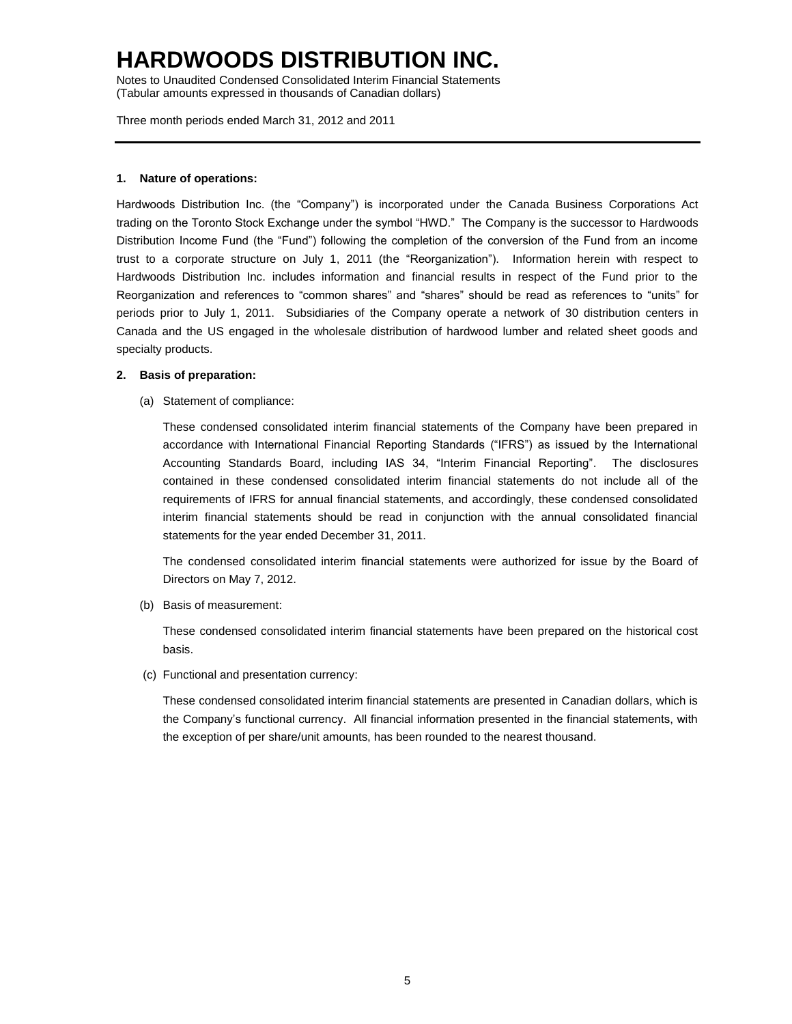Notes to Unaudited Condensed Consolidated Interim Financial Statements (Tabular amounts expressed in thousands of Canadian dollars)

Three month periods ended March 31, 2012 and 2011

### **1. Nature of operations:**

Hardwoods Distribution Inc. (the "Company") is incorporated under the Canada Business Corporations Act trading on the Toronto Stock Exchange under the symbol "HWD." The Company is the successor to Hardwoods Distribution Income Fund (the "Fund") following the completion of the conversion of the Fund from an income trust to a corporate structure on July 1, 2011 (the "Reorganization"). Information herein with respect to Hardwoods Distribution Inc. includes information and financial results in respect of the Fund prior to the Reorganization and references to "common shares" and "shares" should be read as references to "units" for periods prior to July 1, 2011. Subsidiaries of the Company operate a network of 30 distribution centers in Canada and the US engaged in the wholesale distribution of hardwood lumber and related sheet goods and specialty products.

### **2. Basis of preparation:**

(a) Statement of compliance:

These condensed consolidated interim financial statements of the Company have been prepared in accordance with International Financial Reporting Standards ("IFRS") as issued by the International Accounting Standards Board, including IAS 34, "Interim Financial Reporting". The disclosures contained in these condensed consolidated interim financial statements do not include all of the requirements of IFRS for annual financial statements, and accordingly, these condensed consolidated interim financial statements should be read in conjunction with the annual consolidated financial statements for the year ended December 31, 2011.

The condensed consolidated interim financial statements were authorized for issue by the Board of Directors on May 7, 2012.

(b) Basis of measurement:

These condensed consolidated interim financial statements have been prepared on the historical cost basis.

(c) Functional and presentation currency:

These condensed consolidated interim financial statements are presented in Canadian dollars, which is the Company's functional currency. All financial information presented in the financial statements, with the exception of per share/unit amounts, has been rounded to the nearest thousand.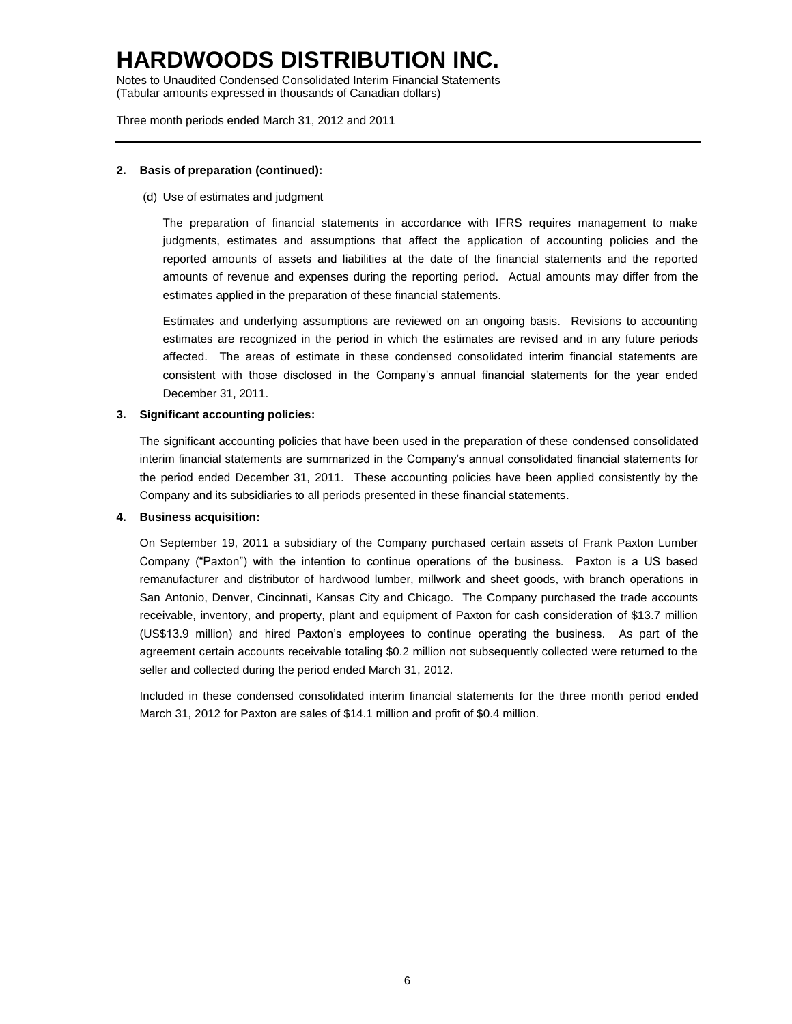Notes to Unaudited Condensed Consolidated Interim Financial Statements (Tabular amounts expressed in thousands of Canadian dollars)

Three month periods ended March 31, 2012 and 2011

### **2. Basis of preparation (continued):**

(d) Use of estimates and judgment

The preparation of financial statements in accordance with IFRS requires management to make judgments, estimates and assumptions that affect the application of accounting policies and the reported amounts of assets and liabilities at the date of the financial statements and the reported amounts of revenue and expenses during the reporting period. Actual amounts may differ from the estimates applied in the preparation of these financial statements.

Estimates and underlying assumptions are reviewed on an ongoing basis. Revisions to accounting estimates are recognized in the period in which the estimates are revised and in any future periods affected. The areas of estimate in these condensed consolidated interim financial statements are consistent with those disclosed in the Company's annual financial statements for the year ended December 31, 2011.

### **3. Significant accounting policies:**

The significant accounting policies that have been used in the preparation of these condensed consolidated interim financial statements are summarized in the Company's annual consolidated financial statements for the period ended December 31, 2011. These accounting policies have been applied consistently by the Company and its subsidiaries to all periods presented in these financial statements.

### **4. Business acquisition:**

On September 19, 2011 a subsidiary of the Company purchased certain assets of Frank Paxton Lumber Company ("Paxton") with the intention to continue operations of the business. Paxton is a US based remanufacturer and distributor of hardwood lumber, millwork and sheet goods, with branch operations in San Antonio, Denver, Cincinnati, Kansas City and Chicago. The Company purchased the trade accounts receivable, inventory, and property, plant and equipment of Paxton for cash consideration of \$13.7 million (US\$13.9 million) and hired Paxton's employees to continue operating the business. As part of the agreement certain accounts receivable totaling \$0.2 million not subsequently collected were returned to the seller and collected during the period ended March 31, 2012.

Included in these condensed consolidated interim financial statements for the three month period ended March 31, 2012 for Paxton are sales of \$14.1 million and profit of \$0.4 million.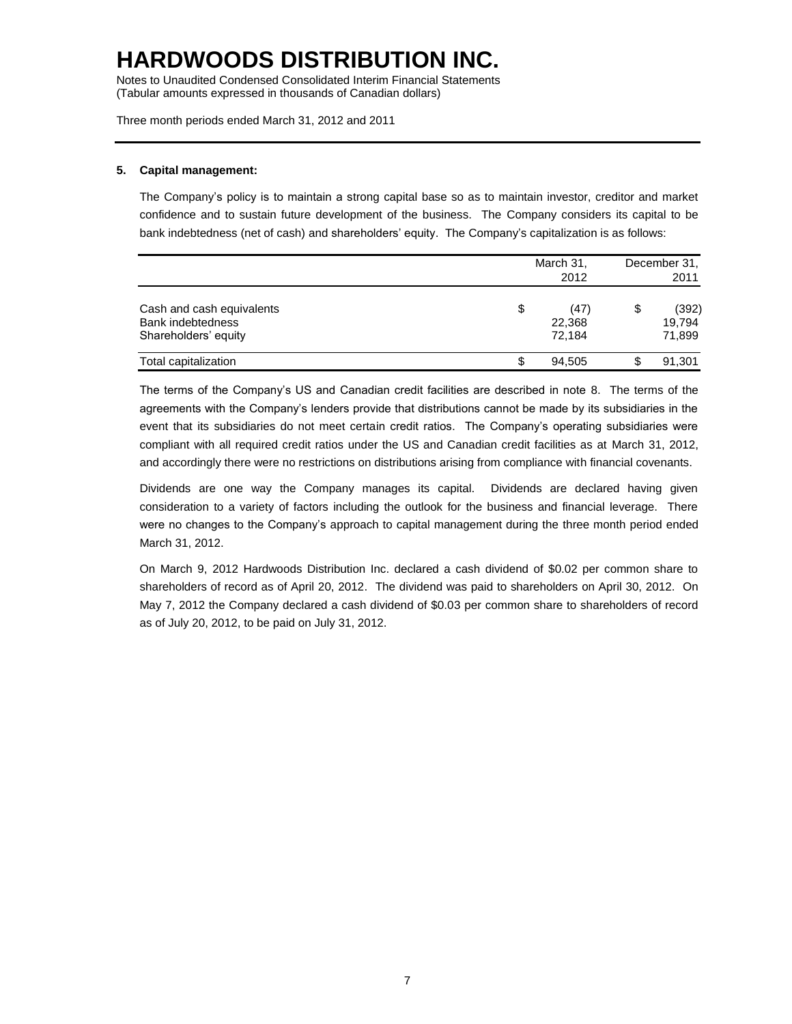Notes to Unaudited Condensed Consolidated Interim Financial Statements (Tabular amounts expressed in thousands of Canadian dollars)

Three month periods ended March 31, 2012 and 2011

### **5. Capital management:**

The Company's policy is to maintain a strong capital base so as to maintain investor, creditor and market confidence and to sustain future development of the business. The Company considers its capital to be bank indebtedness (net of cash) and shareholders' equity. The Company's capitalization is as follows:

|                                                                        |    | March 31,<br>2012        | December 31,<br>2011            |
|------------------------------------------------------------------------|----|--------------------------|---------------------------------|
| Cash and cash equivalents<br>Bank indebtedness<br>Shareholders' equity | \$ | (47)<br>22,368<br>72.184 | \$<br>(392)<br>19,794<br>71,899 |
| Total capitalization                                                   | S  | 94,505                   | \$<br>91,301                    |

The terms of the Company's US and Canadian credit facilities are described in note 8. The terms of the agreements with the Company's lenders provide that distributions cannot be made by its subsidiaries in the event that its subsidiaries do not meet certain credit ratios. The Company's operating subsidiaries were compliant with all required credit ratios under the US and Canadian credit facilities as at March 31, 2012, and accordingly there were no restrictions on distributions arising from compliance with financial covenants.

Dividends are one way the Company manages its capital. Dividends are declared having given consideration to a variety of factors including the outlook for the business and financial leverage. There were no changes to the Company's approach to capital management during the three month period ended March 31, 2012.

On March 9, 2012 Hardwoods Distribution Inc. declared a cash dividend of \$0.02 per common share to shareholders of record as of April 20, 2012. The dividend was paid to shareholders on April 30, 2012. On May 7, 2012 the Company declared a cash dividend of \$0.03 per common share to shareholders of record as of July 20, 2012, to be paid on July 31, 2012.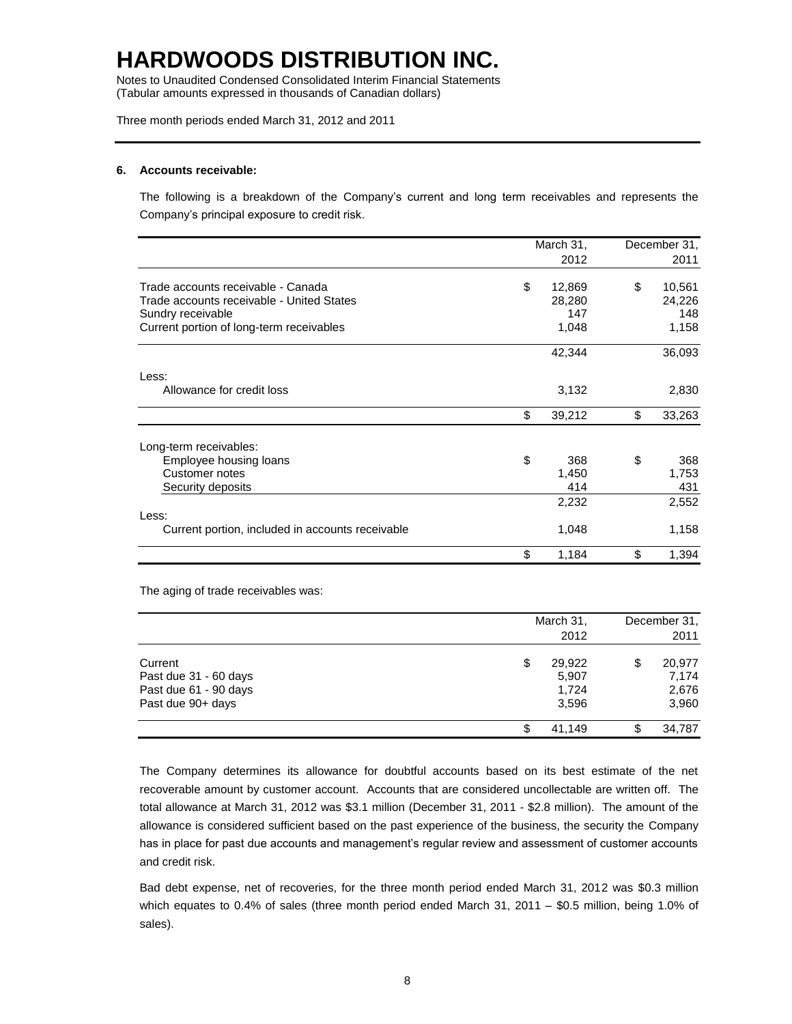Notes to Unaudited Condensed Consolidated Interim Financial Statements (Tabular amounts expressed in thousands of Canadian dollars)

Three month periods ended March 31, 2012 and 2011

#### **6. Accounts receivable:**

The following is a breakdown of the Company's current and long term receivables and represents the Company's principal exposure to credit risk.

|                                                  | March 31,    | December 31, |        |
|--------------------------------------------------|--------------|--------------|--------|
|                                                  | 2012         |              | 2011   |
| Trade accounts receivable - Canada               | \$<br>12,869 | \$           | 10,561 |
| Trade accounts receivable - United States        | 28,280       |              | 24,226 |
| Sundry receivable                                | 147          |              | 148    |
| Current portion of long-term receivables         | 1,048        |              | 1,158  |
|                                                  | 42,344       |              | 36,093 |
| Less:                                            |              |              |        |
| Allowance for credit loss                        | 3,132        |              | 2,830  |
|                                                  | \$<br>39,212 | \$           | 33,263 |
| Long-term receivables:                           |              |              |        |
| Employee housing loans                           | \$<br>368    | \$           | 368    |
| Customer notes                                   | 1,450        |              | 1,753  |
| Security deposits                                | 414          |              | 431    |
|                                                  | 2,232        |              | 2,552  |
| Less:                                            |              |              |        |
| Current portion, included in accounts receivable | 1,048        |              | 1,158  |
|                                                  | \$<br>1,184  | \$           | 1,394  |

The aging of trade receivables was:

|                                                                                | March 31,<br>2012                       |    | December 31,<br>2011              |
|--------------------------------------------------------------------------------|-----------------------------------------|----|-----------------------------------|
| Current<br>Past due 31 - 60 days<br>Past due 61 - 90 days<br>Past due 90+ days | \$<br>29,922<br>5,907<br>1,724<br>3,596 | \$ | 20,977<br>7.174<br>2,676<br>3,960 |
|                                                                                | 41.149                                  | S  | 34,787                            |

The Company determines its allowance for doubtful accounts based on its best estimate of the net recoverable amount by customer account. Accounts that are considered uncollectable are written off. The total allowance at March 31, 2012 was \$3.1 million (December 31, 2011 - \$2.8 million). The amount of the allowance is considered sufficient based on the past experience of the business, the security the Company has in place for past due accounts and management's regular review and assessment of customer accounts and credit risk.

Bad debt expense, net of recoveries, for the three month period ended March 31, 2012 was \$0.3 million which equates to 0.4% of sales (three month period ended March 31, 2011 – \$0.5 million, being 1.0% of sales).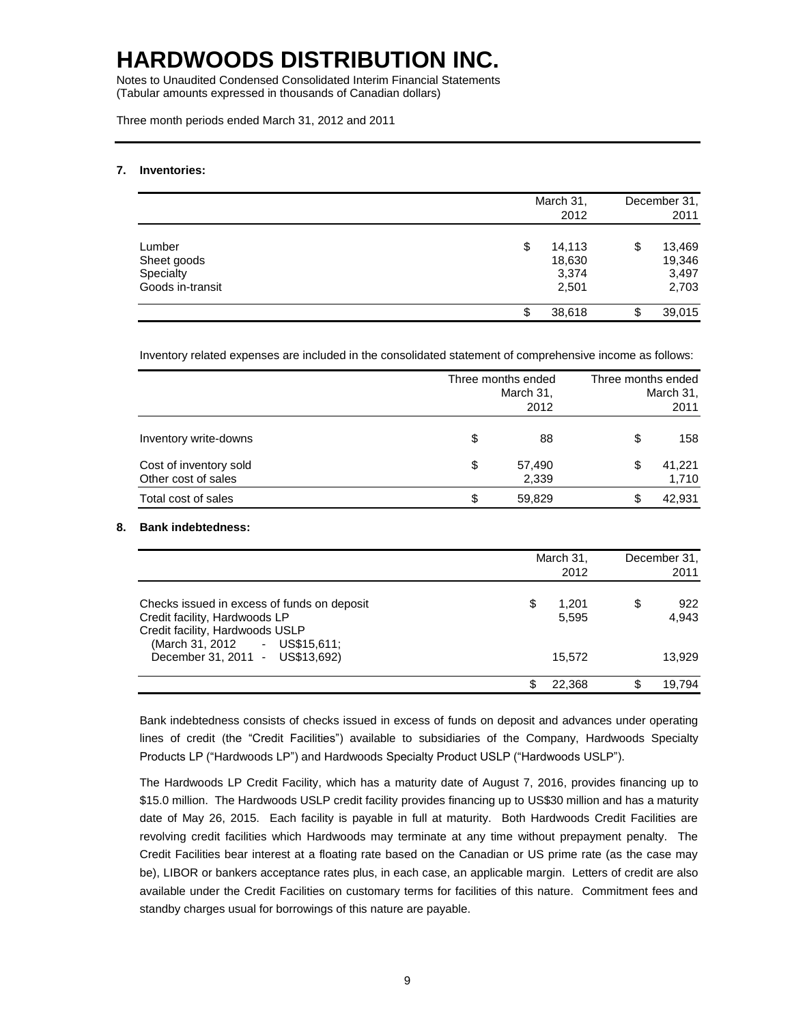Notes to Unaudited Condensed Consolidated Interim Financial Statements (Tabular amounts expressed in thousands of Canadian dollars)

Three month periods ended March 31, 2012 and 2011

### **7. Inventories:**

|                                                        |    | March 31,<br>2012                  | December 31,<br>2011                     |
|--------------------------------------------------------|----|------------------------------------|------------------------------------------|
| Lumber<br>Sheet goods<br>Specialty<br>Goods in-transit | \$ | 14,113<br>18,630<br>3,374<br>2,501 | \$<br>13,469<br>19,346<br>3,497<br>2,703 |
|                                                        | J. | 38,618                             | \$<br>39,015                             |

Inventory related expenses are included in the consolidated statement of comprehensive income as follows:

|                                               | Three months ended<br>March 31,<br>2012 | Three months ended<br>March 31,<br>2011 |  |  |
|-----------------------------------------------|-----------------------------------------|-----------------------------------------|--|--|
| Inventory write-downs                         | \$<br>88                                | \$<br>158                               |  |  |
| Cost of inventory sold<br>Other cost of sales | \$<br>57,490<br>2,339                   | \$<br>41,221<br>1,710                   |  |  |
| Total cost of sales                           | \$<br>59,829                            | \$<br>42,931                            |  |  |

### **8. Bank indebtedness:**

|                                                                                                                                                  | March 31,<br>2012    | December 31,<br>2011 |
|--------------------------------------------------------------------------------------------------------------------------------------------------|----------------------|----------------------|
| Checks issued in excess of funds on deposit<br>Credit facility, Hardwoods LP<br>Credit facility, Hardwoods USLP<br>(March 31, 2012 - US\$15,611; | \$<br>1.201<br>5,595 | \$<br>922<br>4,943   |
| December 31, 2011 - US\$13,692)                                                                                                                  | 15.572               | 13.929               |
|                                                                                                                                                  | 22.368               | \$<br>19.794         |

Bank indebtedness consists of checks issued in excess of funds on deposit and advances under operating lines of credit (the "Credit Facilities") available to subsidiaries of the Company, Hardwoods Specialty Products LP ("Hardwoods LP") and Hardwoods Specialty Product USLP ("Hardwoods USLP").

The Hardwoods LP Credit Facility, which has a maturity date of August 7, 2016, provides financing up to \$15.0 million. The Hardwoods USLP credit facility provides financing up to US\$30 million and has a maturity date of May 26, 2015. Each facility is payable in full at maturity. Both Hardwoods Credit Facilities are revolving credit facilities which Hardwoods may terminate at any time without prepayment penalty. The Credit Facilities bear interest at a floating rate based on the Canadian or US prime rate (as the case may be), LIBOR or bankers acceptance rates plus, in each case, an applicable margin. Letters of credit are also available under the Credit Facilities on customary terms for facilities of this nature. Commitment fees and standby charges usual for borrowings of this nature are payable.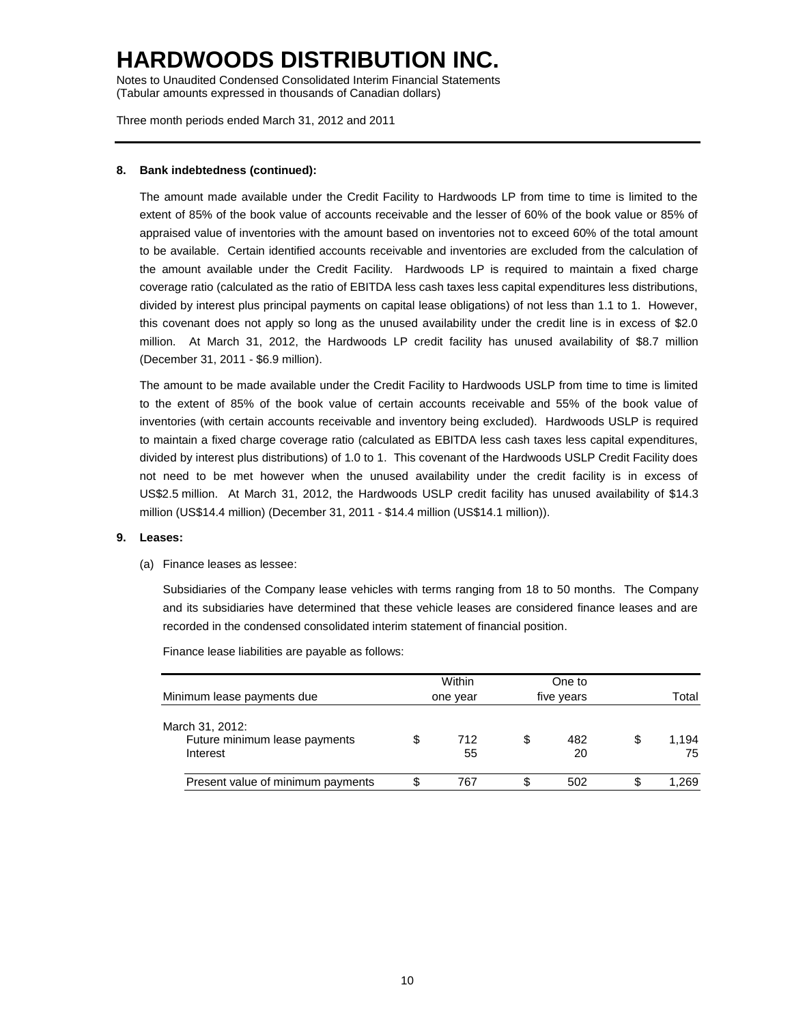Notes to Unaudited Condensed Consolidated Interim Financial Statements (Tabular amounts expressed in thousands of Canadian dollars)

Three month periods ended March 31, 2012 and 2011

### **8. Bank indebtedness (continued):**

The amount made available under the Credit Facility to Hardwoods LP from time to time is limited to the extent of 85% of the book value of accounts receivable and the lesser of 60% of the book value or 85% of appraised value of inventories with the amount based on inventories not to exceed 60% of the total amount to be available. Certain identified accounts receivable and inventories are excluded from the calculation of the amount available under the Credit Facility. Hardwoods LP is required to maintain a fixed charge coverage ratio (calculated as the ratio of EBITDA less cash taxes less capital expenditures less distributions, divided by interest plus principal payments on capital lease obligations) of not less than 1.1 to 1. However, this covenant does not apply so long as the unused availability under the credit line is in excess of \$2.0 million. At March 31, 2012, the Hardwoods LP credit facility has unused availability of \$8.7 million (December 31, 2011 - \$6.9 million).

The amount to be made available under the Credit Facility to Hardwoods USLP from time to time is limited to the extent of 85% of the book value of certain accounts receivable and 55% of the book value of inventories (with certain accounts receivable and inventory being excluded). Hardwoods USLP is required to maintain a fixed charge coverage ratio (calculated as EBITDA less cash taxes less capital expenditures, divided by interest plus distributions) of 1.0 to 1. This covenant of the Hardwoods USLP Credit Facility does not need to be met however when the unused availability under the credit facility is in excess of US\$2.5 million. At March 31, 2012, the Hardwoods USLP credit facility has unused availability of \$14.3 million (US\$14.4 million) (December 31, 2011 - \$14.4 million (US\$14.1 million)).

### **9. Leases:**

(a) Finance leases as lessee:

Subsidiaries of the Company lease vehicles with terms ranging from 18 to 50 months. The Company and its subsidiaries have determined that these vehicle leases are considered finance leases and are recorded in the condensed consolidated interim statement of financial position.

Finance lease liabilities are payable as follows:

|                                                              | Within    |    | One to     |   |             |
|--------------------------------------------------------------|-----------|----|------------|---|-------------|
| Minimum lease payments due                                   | one year  |    | five years |   | Total       |
| March 31, 2012:<br>Future minimum lease payments<br>Interest | 712<br>55 | \$ | 482<br>20  | S | 1.194<br>75 |
| Present value of minimum payments                            | 767       | S  | 502        | S | 1.269       |
|                                                              |           |    |            |   |             |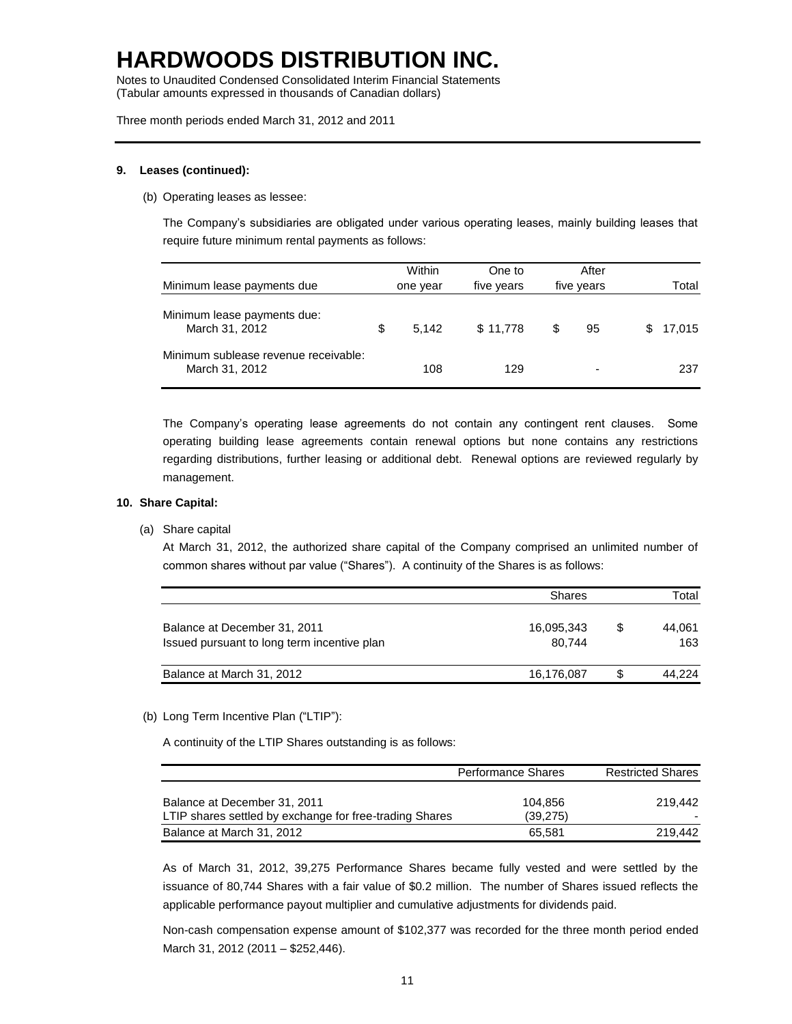Notes to Unaudited Condensed Consolidated Interim Financial Statements (Tabular amounts expressed in thousands of Canadian dollars)

Three month periods ended March 31, 2012 and 2011

### **9. Leases (continued):**

(b) Operating leases as lessee:

The Company's subsidiaries are obligated under various operating leases, mainly building leases that require future minimum rental payments as follows:

| Minimum lease payments due                             | Within<br>one year | One to<br>five years |   | After<br>five years |    | Total  |
|--------------------------------------------------------|--------------------|----------------------|---|---------------------|----|--------|
| Minimum lease payments due:<br>March 31, 2012          | \$<br>5.142        | \$11.778             | S | 95                  | S. | 17,015 |
| Minimum sublease revenue receivable:<br>March 31, 2012 | 108                | 129                  |   | ۰                   |    | 237    |

The Company's operating lease agreements do not contain any contingent rent clauses. Some operating building lease agreements contain renewal options but none contains any restrictions regarding distributions, further leasing or additional debt. Renewal options are reviewed regularly by management.

#### **10. Share Capital:**

(a) Share capital

At March 31, 2012, the authorized share capital of the Company comprised an unlimited number of common shares without par value ("Shares"). A continuity of the Shares is as follows:

|                                             | <b>Shares</b> |     | Total  |
|---------------------------------------------|---------------|-----|--------|
|                                             |               |     |        |
| Balance at December 31, 2011                | 16,095,343    | \$. | 44.061 |
| Issued pursuant to long term incentive plan | 80.744        |     | 163    |
|                                             |               |     |        |
| Balance at March 31, 2012                   | 16,176,087    | S   | 44.224 |

### (b) Long Term Incentive Plan ("LTIP"):

A continuity of the LTIP Shares outstanding is as follows:

|                                                                                         | <b>Performance Shares</b> | <b>Restricted Shares</b> |
|-----------------------------------------------------------------------------------------|---------------------------|--------------------------|
| Balance at December 31, 2011<br>LTIP shares settled by exchange for free-trading Shares | 104.856<br>(39,275)       | 219.442                  |
| Balance at March 31, 2012                                                               | 65.581                    | 219.442                  |

As of March 31, 2012, 39,275 Performance Shares became fully vested and were settled by the issuance of 80,744 Shares with a fair value of \$0.2 million. The number of Shares issued reflects the applicable performance payout multiplier and cumulative adjustments for dividends paid.

Non-cash compensation expense amount of \$102,377 was recorded for the three month period ended March 31, 2012 (2011 – \$252,446).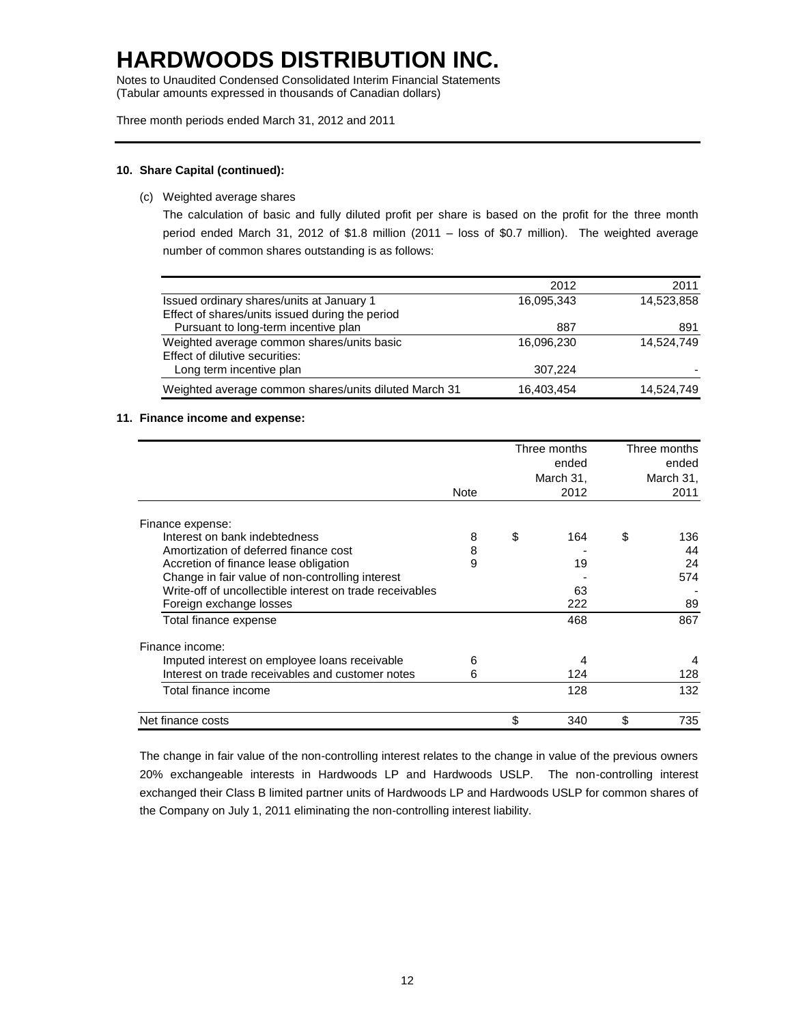Notes to Unaudited Condensed Consolidated Interim Financial Statements (Tabular amounts expressed in thousands of Canadian dollars)

Three month periods ended March 31, 2012 and 2011

### **10. Share Capital (continued):**

(c) Weighted average shares

The calculation of basic and fully diluted profit per share is based on the profit for the three month period ended March 31, 2012 of \$1.8 million (2011 – loss of \$0.7 million). The weighted average number of common shares outstanding is as follows:

|                                                       | 2012       | 2011       |
|-------------------------------------------------------|------------|------------|
| Issued ordinary shares/units at January 1             | 16,095,343 | 14,523,858 |
| Effect of shares/units issued during the period       |            |            |
| Pursuant to long-term incentive plan                  | 887        | 891        |
| Weighted average common shares/units basic            | 16,096,230 | 14.524.749 |
| Effect of dilutive securities:                        |            |            |
| Long term incentive plan                              | 307,224    |            |
| Weighted average common shares/units diluted March 31 | 16,403,454 | 14,524,749 |

### **11. Finance income and expense:**

|                                                          |             | Three months<br>ended<br>March 31, |      | Three months<br>ended<br>March 31, |      |
|----------------------------------------------------------|-------------|------------------------------------|------|------------------------------------|------|
|                                                          | <b>Note</b> |                                    | 2012 |                                    | 2011 |
| Finance expense:                                         |             |                                    |      |                                    |      |
| Interest on bank indebtedness                            | 8           | \$                                 | 164  | \$                                 | 136  |
| Amortization of deferred finance cost                    | 8           |                                    |      |                                    | 44   |
| Accretion of finance lease obligation                    | 9           |                                    | 19   |                                    | 24   |
| Change in fair value of non-controlling interest         |             |                                    |      |                                    | 574  |
| Write-off of uncollectible interest on trade receivables |             |                                    | 63   |                                    |      |
| Foreign exchange losses                                  |             |                                    | 222  |                                    | 89   |
| Total finance expense                                    |             |                                    | 468  |                                    | 867  |
| Finance income:                                          |             |                                    |      |                                    |      |
| Imputed interest on employee loans receivable            | 6           |                                    | 4    |                                    | 4    |
| Interest on trade receivables and customer notes         | 6           |                                    | 124  |                                    | 128  |
| Total finance income                                     |             |                                    | 128  |                                    | 132  |
| Net finance costs                                        |             | \$                                 | 340  | \$                                 | 735  |

The change in fair value of the non-controlling interest relates to the change in value of the previous owners 20% exchangeable interests in Hardwoods LP and Hardwoods USLP. The non-controlling interest exchanged their Class B limited partner units of Hardwoods LP and Hardwoods USLP for common shares of the Company on July 1, 2011 eliminating the non-controlling interest liability.